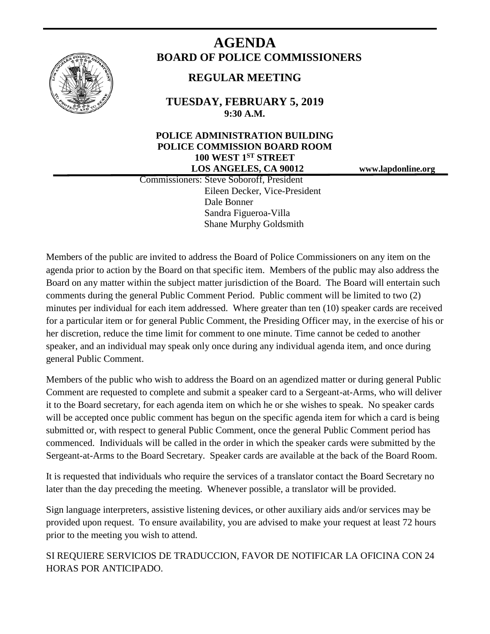

# **AGENDA BOARD OF POLICE COMMISSIONERS**

# **REGULAR MEETING**

**TUESDAY, FEBRUARY 5, 2019 9:30 A.M.**

# **POLICE ADMINISTRATION BUILDING POLICE COMMISSION BOARD ROOM 100 WEST 1ST STREET LOS ANGELES, CA 90012 www.lapdonline.org**

 Commissioners: Steve Soboroff, President Eileen Decker, Vice-President Dale Bonner Sandra Figueroa-Villa Shane Murphy Goldsmith

Members of the public are invited to address the Board of Police Commissioners on any item on the agenda prior to action by the Board on that specific item. Members of the public may also address the Board on any matter within the subject matter jurisdiction of the Board. The Board will entertain such comments during the general Public Comment Period. Public comment will be limited to two (2) minutes per individual for each item addressed. Where greater than ten (10) speaker cards are received for a particular item or for general Public Comment, the Presiding Officer may, in the exercise of his or her discretion, reduce the time limit for comment to one minute. Time cannot be ceded to another speaker, and an individual may speak only once during any individual agenda item, and once during general Public Comment.

Members of the public who wish to address the Board on an agendized matter or during general Public Comment are requested to complete and submit a speaker card to a Sergeant-at-Arms, who will deliver it to the Board secretary, for each agenda item on which he or she wishes to speak. No speaker cards will be accepted once public comment has begun on the specific agenda item for which a card is being submitted or, with respect to general Public Comment, once the general Public Comment period has commenced. Individuals will be called in the order in which the speaker cards were submitted by the Sergeant-at-Arms to the Board Secretary. Speaker cards are available at the back of the Board Room.

It is requested that individuals who require the services of a translator contact the Board Secretary no later than the day preceding the meeting. Whenever possible, a translator will be provided.

Sign language interpreters, assistive listening devices, or other auxiliary aids and/or services may be provided upon request. To ensure availability, you are advised to make your request at least 72 hours prior to the meeting you wish to attend.

SI REQUIERE SERVICIOS DE TRADUCCION, FAVOR DE NOTIFICAR LA OFICINA CON 24 HORAS POR ANTICIPADO.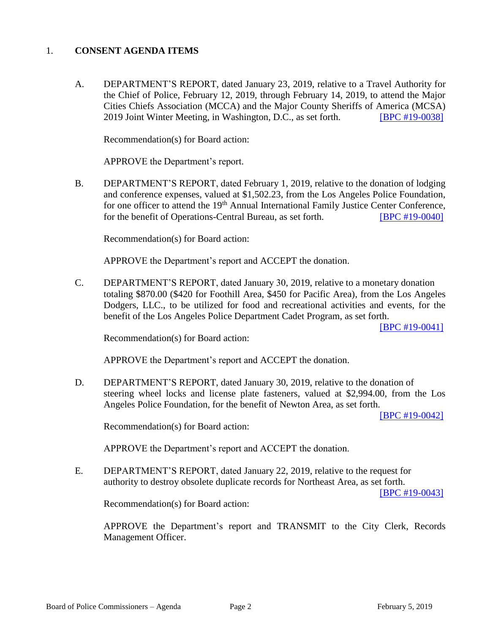# 1. **CONSENT AGENDA ITEMS**

A. DEPARTMENT'S REPORT, dated January 23, 2019, relative to a Travel Authority for the Chief of Police, February 12, 2019, through February 14, 2019, to attend the Major Cities Chiefs Association (MCCA) and the Major County Sheriffs of America (MCSA) 2019 Joint Winter Meeting, in Washington, D.C., as set forth. [\[BPC #19-0038\]](http://www.lapdpolicecom.lacity.org/020519/BPC_19-0038.pdf)

Recommendation(s) for Board action:

APPROVE the Department's report.

B. DEPARTMENT'S REPORT, dated February 1, 2019, relative to the donation of lodging and conference expenses, valued at \$1,502.23, from the Los Angeles Police Foundation, for one officer to attend the 19<sup>th</sup> Annual International Family Justice Center Conference, for the benefit of Operations-Central Bureau, as set forth. **[\[BPC #19-0040\]](http://www.lapdpolicecom.lacity.org/020519/BPC_19-0040.pdf)** 

Recommendation(s) for Board action:

APPROVE the Department's report and ACCEPT the donation.

C. DEPARTMENT'S REPORT, dated January 30, 2019, relative to a monetary donation totaling \$870.00 (\$420 for Foothill Area, \$450 for Pacific Area), from the Los Angeles Dodgers, LLC., to be utilized for food and recreational activities and events, for the benefit of the Los Angeles Police Department Cadet Program, as set forth.

[\[BPC #19-0041\]](http://www.lapdpolicecom.lacity.org/020519/BPC_19-0041.pdf)

Recommendation(s) for Board action:

APPROVE the Department's report and ACCEPT the donation.

D. DEPARTMENT'S REPORT, dated January 30, 2019, relative to the donation of steering wheel locks and license plate fasteners, valued at \$2,994.00, from the Los Angeles Police Foundation, for the benefit of Newton Area, as set forth.

[\[BPC #19-0042\]](http://www.lapdpolicecom.lacity.org/020519/BPC_19-0042.pdf)

Recommendation(s) for Board action:

APPROVE the Department's report and ACCEPT the donation.

E. DEPARTMENT'S REPORT, dated January 22, 2019, relative to the request for authority to destroy obsolete duplicate records for Northeast Area, as set forth.

[\[BPC #19-0043\]](http://www.lapdpolicecom.lacity.org/020519/BPC_19-0043.pdf)

Recommendation(s) for Board action:

APPROVE the Department's report and TRANSMIT to the City Clerk, Records Management Officer.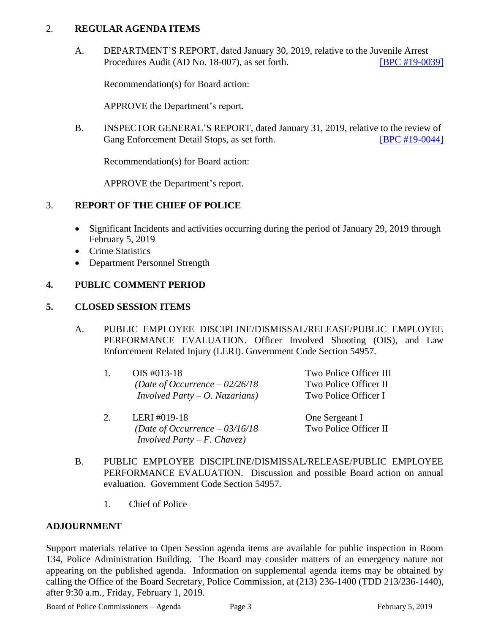# 2. **REGULAR AGENDA ITEMS**

A. DEPARTMENT'S REPORT, dated January 30, 2019, relative to the Juvenile Arrest Procedures Audit (AD No. 18-007), as set forth. [\[BPC #19-0039\]](http://www.lapdpolicecom.lacity.org/020519/BPC_19-0039.pdf)

Recommendation(s) for Board action:

APPROVE the Department's report.

B. INSPECTOR GENERAL'S REPORT, dated January 31, 2019, relative to the review of Gang Enforcement Detail Stops, as set forth. **[\[BPC #19-0044\]](http://www.lapdpolicecom.lacity.org/020519/BPC_19-0044.pdf)** 

Recommendation(s) for Board action:

APPROVE the Department's report.

# 3. **REPORT OF THE CHIEF OF POLICE**

- Significant Incidents and activities occurring during the period of January 29, 2019 through February 5, 2019
- Crime Statistics
- Department Personnel Strength

## **4. PUBLIC COMMENT PERIOD**

## **5. CLOSED SESSION ITEMS**

- A. PUBLIC EMPLOYEE DISCIPLINE/DISMISSAL/RELEASE/PUBLIC EMPLOYEE PERFORMANCE EVALUATION. Officer Involved Shooting (OIS), and Law Enforcement Related Injury (LERI). Government Code Section 54957.
	- 1. OIS #013-18 Two Police Officer III *(Date of Occurrence – 02/26/18* Two Police Officer II  *Involved Party – O. Nazarians)* Two Police Officer I
- - 2. LERI #019-18 One Sergeant I *(Date of Occurrence – 03/16/18* Two Police Officer II  *Involved Party – F. Chavez)*

- B. PUBLIC EMPLOYEE DISCIPLINE/DISMISSAL/RELEASE/PUBLIC EMPLOYEE PERFORMANCE EVALUATION. Discussion and possible Board action on annual evaluation. Government Code Section 54957.
	- 1. Chief of Police

## **ADJOURNMENT**

Support materials relative to Open Session agenda items are available for public inspection in Room 134, Police Administration Building. The Board may consider matters of an emergency nature not appearing on the published agenda. Information on supplemental agenda items may be obtained by calling the Office of the Board Secretary, Police Commission, at (213) 236-1400 (TDD 213/236-1440), after 9:30 a.m., Friday, February 1, 2019.

Board of Police Commissioners – Agenda Page 3 February 5, 2019